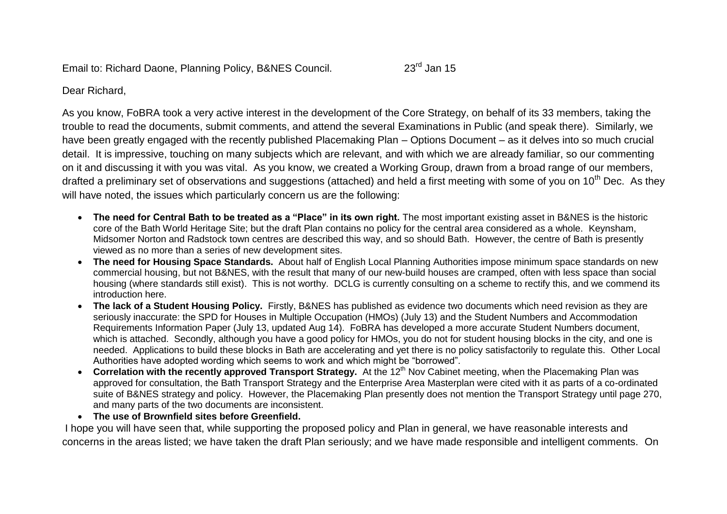Email to: Richard Daone, Planning Policy, B&NES Council. 23<sup>rd</sup> Jan 15

Dear Richard,

As you know, FoBRA took a very active interest in the development of the Core Strategy, on behalf of its 33 members, taking the trouble to read the documents, submit comments, and attend the several Examinations in Public (and speak there). Similarly, we have been greatly engaged with the recently published Placemaking Plan – Options Document – as it delves into so much crucial detail. It is impressive, touching on many subjects which are relevant, and with which we are already familiar, so our commenting on it and discussing it with you was vital. As you know, we created a Working Group, drawn from a broad range of our members, drafted a preliminary set of observations and suggestions (attached) and held a first meeting with some of you on 10<sup>th</sup> Dec. As they will have noted, the issues which particularly concern us are the following:

- **The need for Central Bath to be treated as a "Place" in its own right.** The most important existing asset in B&NES is the historic core of the Bath World Heritage Site; but the draft Plan contains no policy for the central area considered as a whole. Keynsham, Midsomer Norton and Radstock town centres are described this way, and so should Bath. However, the centre of Bath is presently viewed as no more than a series of new development sites.
- **The need for Housing Space Standards.** About half of English Local Planning Authorities impose minimum space standards on new commercial housing, but not B&NES, with the result that many of our new-build houses are cramped, often with less space than social housing (where standards still exist). This is not worthy. DCLG is currently consulting on a scheme to rectify this, and we commend its introduction here.
- **The lack of a Student Housing Policy.** Firstly, B&NES has published as evidence two documents which need revision as they are seriously inaccurate: the SPD for Houses in Multiple Occupation (HMOs) (July 13) and the Student Numbers and Accommodation Requirements Information Paper (July 13, updated Aug 14). FoBRA has developed a more accurate Student Numbers document, which is attached. Secondly, although you have a good policy for HMOs, you do not for student housing blocks in the city, and one is needed. Applications to build these blocks in Bath are accelerating and yet there is no policy satisfactorily to regulate this. Other Local Authorities have adopted wording which seems to work and which might be "borrowed".
- Correlation with the recently approved Transport Strategy. At the 12<sup>th</sup> Nov Cabinet meeting, when the Placemaking Plan was approved for consultation, the Bath Transport Strategy and the Enterprise Area Masterplan were cited with it as parts of a co-ordinated suite of B&NES strategy and policy. However, the Placemaking Plan presently does not mention the Transport Strategy until page 270, and many parts of the two documents are inconsistent.
- **The use of Brownfield sites before Greenfield.**

I hope you will have seen that, while supporting the proposed policy and Plan in general, we have reasonable interests and concerns in the areas listed; we have taken the draft Plan seriously; and we have made responsible and intelligent comments. On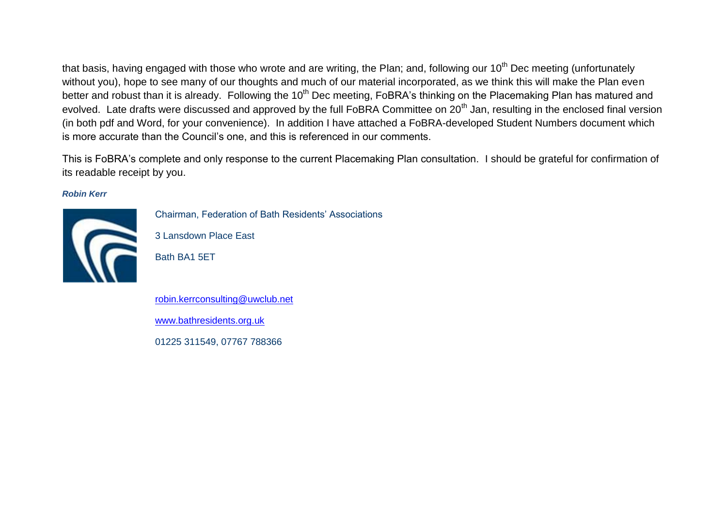that basis, having engaged with those who wrote and are writing, the Plan; and, following our  $10<sup>th</sup>$  Dec meeting (unfortunately without you), hope to see many of our thoughts and much of our material incorporated, as we think this will make the Plan even better and robust than it is already. Following the 10<sup>th</sup> Dec meeting, FoBRA's thinking on the Placemaking Plan has matured and evolved. Late drafts were discussed and approved by the full FoBRA Committee on 20<sup>th</sup> Jan, resulting in the enclosed final version (in both pdf and Word, for your convenience). In addition I have attached a FoBRA-developed Student Numbers document which is more accurate than the Council's one, and this is referenced in our comments.

This is FoBRA's complete and only response to the current Placemaking Plan consultation. I should be grateful for confirmation of its readable receipt by you.

*Robin Kerr*



Chairman, Federation of Bath Residents' Associations

3 Lansdown Place East

Bath BA1 5ET

[robin.kerrconsulting@uwclub.net](mailto:robin.kerrconsulting@uwclub.net) [www.bathresidents.org.uk](http://www.bathresidents.org.uk/) 01225 311549, 07767 788366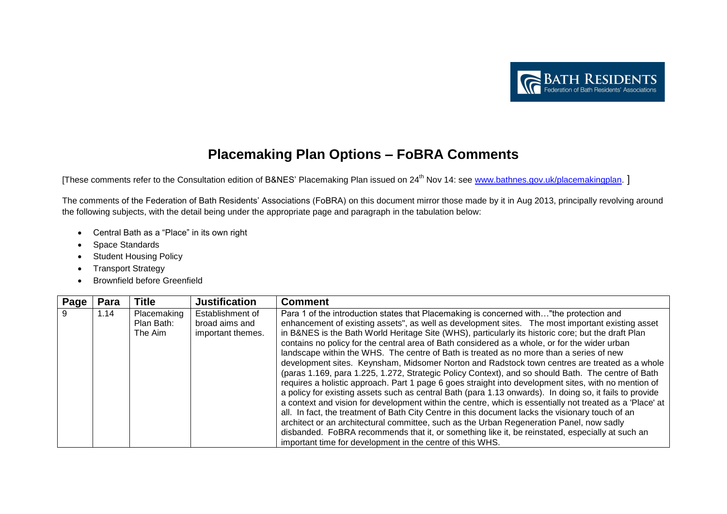

## **Placemaking Plan Options – FoBRA Comments**

[These comments refer to the Consultation edition of B&NES' Placemaking Plan issued on 24<sup>th</sup> Nov 14: see [www.bathnes.gov.uk/placemakingplan.](http://www.bathnes.gov.uk/placemakingplan) ]

The comments of the Federation of Bath Residents' Associations (FoBRA) on this document mirror those made by it in Aug 2013, principally revolving around the following subjects, with the detail being under the appropriate page and paragraph in the tabulation below:

- Central Bath as a "Place" in its own right
- Space Standards
- Student Housing Policy
- Transport Strategy
- **•** Brownfield before Greenfield

| Page | Para | <b>Title</b>                         | <b>Justification</b>                                    | <b>Comment</b>                                                                                                                                                                                                                                                                                                                                                                                                                                                                                                                                                                                                                                                                                                                                                                                                                                                                                                                                                                                                                                                                                                                                                                                                                                                                                                                                                                                      |
|------|------|--------------------------------------|---------------------------------------------------------|-----------------------------------------------------------------------------------------------------------------------------------------------------------------------------------------------------------------------------------------------------------------------------------------------------------------------------------------------------------------------------------------------------------------------------------------------------------------------------------------------------------------------------------------------------------------------------------------------------------------------------------------------------------------------------------------------------------------------------------------------------------------------------------------------------------------------------------------------------------------------------------------------------------------------------------------------------------------------------------------------------------------------------------------------------------------------------------------------------------------------------------------------------------------------------------------------------------------------------------------------------------------------------------------------------------------------------------------------------------------------------------------------------|
| 9    | 1.14 | Placemaking<br>Plan Bath:<br>The Aim | Establishment of<br>broad aims and<br>important themes. | Para 1 of the introduction states that Placemaking is concerned with"the protection and<br>enhancement of existing assets", as well as development sites. The most important existing asset<br>in B&NES is the Bath World Heritage Site (WHS), particularly its historic core; but the draft Plan<br>contains no policy for the central area of Bath considered as a whole, or for the wider urban<br>landscape within the WHS. The centre of Bath is treated as no more than a series of new<br>development sites. Keynsham, Midsomer Norton and Radstock town centres are treated as a whole<br>(paras 1.169, para 1.225, 1.272, Strategic Policy Context), and so should Bath. The centre of Bath<br>requires a holistic approach. Part 1 page 6 goes straight into development sites, with no mention of<br>a policy for existing assets such as central Bath (para 1.13 onwards). In doing so, it fails to provide<br>a context and vision for development within the centre, which is essentially not treated as a 'Place' at<br>all. In fact, the treatment of Bath City Centre in this document lacks the visionary touch of an<br>architect or an architectural committee, such as the Urban Regeneration Panel, now sadly<br>disbanded. FoBRA recommends that it, or something like it, be reinstated, especially at such an<br>important time for development in the centre of this WHS. |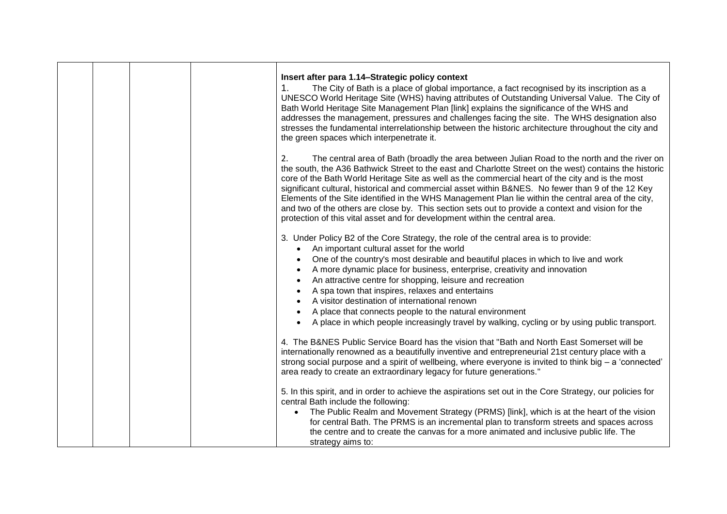|  |  | Insert after para 1.14–Strategic policy context<br>The City of Bath is a place of global importance, a fact recognised by its inscription as a<br>1.<br>UNESCO World Heritage Site (WHS) having attributes of Outstanding Universal Value. The City of<br>Bath World Heritage Site Management Plan [link] explains the significance of the WHS and<br>addresses the management, pressures and challenges facing the site. The WHS designation also<br>stresses the fundamental interrelationship between the historic architecture throughout the city and<br>the green spaces which interpenetrate it.                                                                                                          |
|--|--|------------------------------------------------------------------------------------------------------------------------------------------------------------------------------------------------------------------------------------------------------------------------------------------------------------------------------------------------------------------------------------------------------------------------------------------------------------------------------------------------------------------------------------------------------------------------------------------------------------------------------------------------------------------------------------------------------------------|
|  |  | 2.<br>The central area of Bath (broadly the area between Julian Road to the north and the river on<br>the south, the A36 Bathwick Street to the east and Charlotte Street on the west) contains the historic<br>core of the Bath World Heritage Site as well as the commercial heart of the city and is the most<br>significant cultural, historical and commercial asset within B&NES. No fewer than 9 of the 12 Key<br>Elements of the Site identified in the WHS Management Plan lie within the central area of the city,<br>and two of the others are close by. This section sets out to provide a context and vision for the<br>protection of this vital asset and for development within the central area. |
|  |  | 3. Under Policy B2 of the Core Strategy, the role of the central area is to provide:<br>An important cultural asset for the world<br>$\bullet$<br>One of the country's most desirable and beautiful places in which to live and work<br>A more dynamic place for business, enterprise, creativity and innovation<br>An attractive centre for shopping, leisure and recreation<br>A spa town that inspires, relaxes and entertains<br>A visitor destination of international renown<br>A place that connects people to the natural environment<br>A place in which people increasingly travel by walking, cycling or by using public transport.                                                                   |
|  |  | 4. The B&NES Public Service Board has the vision that "Bath and North East Somerset will be<br>internationally renowned as a beautifully inventive and entrepreneurial 21st century place with a<br>strong social purpose and a spirit of wellbeing, where everyone is invited to think big $-$ a 'connected'<br>area ready to create an extraordinary legacy for future generations."                                                                                                                                                                                                                                                                                                                           |
|  |  | 5. In this spirit, and in order to achieve the aspirations set out in the Core Strategy, our policies for<br>central Bath include the following:<br>The Public Realm and Movement Strategy (PRMS) [link], which is at the heart of the vision<br>for central Bath. The PRMS is an incremental plan to transform streets and spaces across<br>the centre and to create the canvas for a more animated and inclusive public life. The<br>strategy aims to:                                                                                                                                                                                                                                                         |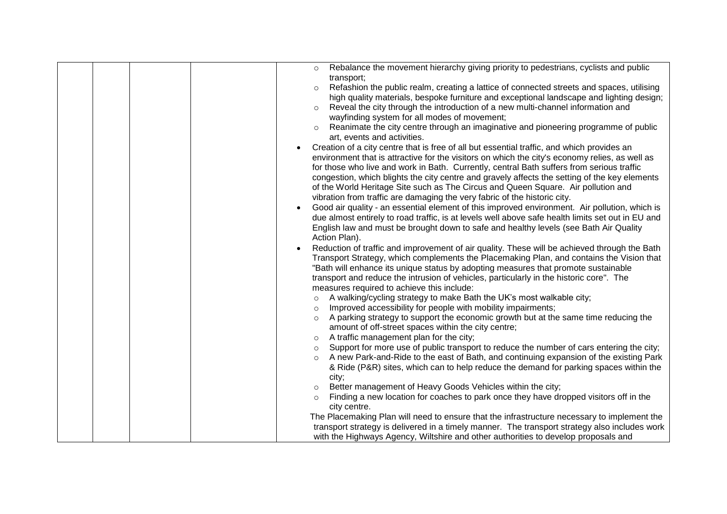|  | Rebalance the movement hierarchy giving priority to pedestrians, cyclists and public<br>transport;                                                                                         |
|--|--------------------------------------------------------------------------------------------------------------------------------------------------------------------------------------------|
|  | Refashion the public realm, creating a lattice of connected streets and spaces, utilising<br>$\circ$                                                                                       |
|  | high quality materials, bespoke furniture and exceptional landscape and lighting design;                                                                                                   |
|  | Reveal the city through the introduction of a new multi-channel information and                                                                                                            |
|  | wayfinding system for all modes of movement;                                                                                                                                               |
|  | Reanimate the city centre through an imaginative and pioneering programme of public                                                                                                        |
|  | art, events and activities.                                                                                                                                                                |
|  | Creation of a city centre that is free of all but essential traffic, and which provides an                                                                                                 |
|  | environment that is attractive for the visitors on which the city's economy relies, as well as                                                                                             |
|  | for those who live and work in Bath. Currently, central Bath suffers from serious traffic<br>congestion, which blights the city centre and gravely affects the setting of the key elements |
|  | of the World Heritage Site such as The Circus and Queen Square. Air pollution and                                                                                                          |
|  | vibration from traffic are damaging the very fabric of the historic city.                                                                                                                  |
|  | Good air quality - an essential element of this improved environment. Air pollution, which is                                                                                              |
|  | due almost entirely to road traffic, is at levels well above safe health limits set out in EU and                                                                                          |
|  | English law and must be brought down to safe and healthy levels (see Bath Air Quality                                                                                                      |
|  | Action Plan).                                                                                                                                                                              |
|  | Reduction of traffic and improvement of air quality. These will be achieved through the Bath                                                                                               |
|  | Transport Strategy, which complements the Placemaking Plan, and contains the Vision that                                                                                                   |
|  | "Bath will enhance its unique status by adopting measures that promote sustainable                                                                                                         |
|  | transport and reduce the intrusion of vehicles, particularly in the historic core". The<br>measures required to achieve this include:                                                      |
|  | A walking/cycling strategy to make Bath the UK's most walkable city;<br>$\circ$                                                                                                            |
|  | Improved accessibility for people with mobility impairments;<br>$\circ$                                                                                                                    |
|  | A parking strategy to support the economic growth but at the same time reducing the<br>$\circ$                                                                                             |
|  | amount of off-street spaces within the city centre;                                                                                                                                        |
|  | A traffic management plan for the city;                                                                                                                                                    |
|  | Support for more use of public transport to reduce the number of cars entering the city;<br>$\circ$                                                                                        |
|  | A new Park-and-Ride to the east of Bath, and continuing expansion of the existing Park                                                                                                     |
|  | & Ride (P&R) sites, which can to help reduce the demand for parking spaces within the                                                                                                      |
|  | city;<br>Better management of Heavy Goods Vehicles within the city;                                                                                                                        |
|  | Finding a new location for coaches to park once they have dropped visitors off in the<br>$\circ$                                                                                           |
|  | city centre.                                                                                                                                                                               |
|  | The Placemaking Plan will need to ensure that the infrastructure necessary to implement the                                                                                                |
|  | transport strategy is delivered in a timely manner. The transport strategy also includes work                                                                                              |
|  | with the Highways Agency, Wiltshire and other authorities to develop proposals and                                                                                                         |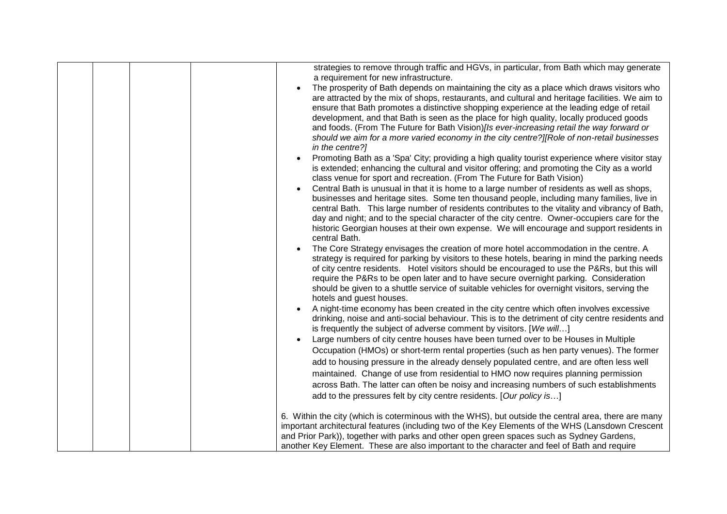|  |  | strategies to remove through traffic and HGVs, in particular, from Bath which may generate<br>a requirement for new infrastructure.<br>The prosperity of Bath depends on maintaining the city as a place which draws visitors who<br>are attracted by the mix of shops, restaurants, and cultural and heritage facilities. We aim to<br>ensure that Bath promotes a distinctive shopping experience at the leading edge of retail<br>development, and that Bath is seen as the place for high quality, locally produced goods<br>and foods. (From The Future for Bath Vision) [Is ever-increasing retail the way forward or<br>should we aim for a more varied economy in the city centre?][Role of non-retail businesses<br>in the centre?]<br>Promoting Bath as a 'Spa' City; providing a high quality tourist experience where visitor stay<br>is extended; enhancing the cultural and visitor offering; and promoting the City as a world<br>class venue for sport and recreation. (From The Future for Bath Vision)<br>Central Bath is unusual in that it is home to a large number of residents as well as shops,<br>businesses and heritage sites. Some ten thousand people, including many families, live in<br>central Bath. This large number of residents contributes to the vitality and vibrancy of Bath,<br>day and night; and to the special character of the city centre. Owner-occupiers care for the<br>historic Georgian houses at their own expense. We will encourage and support residents in<br>central Bath.<br>The Core Strategy envisages the creation of more hotel accommodation in the centre. A<br>strategy is required for parking by visitors to these hotels, bearing in mind the parking needs<br>of city centre residents. Hotel visitors should be encouraged to use the P&Rs, but this will<br>require the P&Rs to be open later and to have secure overnight parking. Consideration<br>should be given to a shuttle service of suitable vehicles for overnight visitors, serving the<br>hotels and guest houses.<br>A night-time economy has been created in the city centre which often involves excessive<br>drinking, noise and anti-social behaviour. This is to the detriment of city centre residents and<br>is frequently the subject of adverse comment by visitors. [We will] |
|--|--|------------------------------------------------------------------------------------------------------------------------------------------------------------------------------------------------------------------------------------------------------------------------------------------------------------------------------------------------------------------------------------------------------------------------------------------------------------------------------------------------------------------------------------------------------------------------------------------------------------------------------------------------------------------------------------------------------------------------------------------------------------------------------------------------------------------------------------------------------------------------------------------------------------------------------------------------------------------------------------------------------------------------------------------------------------------------------------------------------------------------------------------------------------------------------------------------------------------------------------------------------------------------------------------------------------------------------------------------------------------------------------------------------------------------------------------------------------------------------------------------------------------------------------------------------------------------------------------------------------------------------------------------------------------------------------------------------------------------------------------------------------------------------------------------------------------------------------------------------------------------------------------------------------------------------------------------------------------------------------------------------------------------------------------------------------------------------------------------------------------------------------------------------------------------------------------------------------------------------------------------------------------------------------------------------------------------------|
|  |  |                                                                                                                                                                                                                                                                                                                                                                                                                                                                                                                                                                                                                                                                                                                                                                                                                                                                                                                                                                                                                                                                                                                                                                                                                                                                                                                                                                                                                                                                                                                                                                                                                                                                                                                                                                                                                                                                                                                                                                                                                                                                                                                                                                                                                                                                                                                              |
|  |  |                                                                                                                                                                                                                                                                                                                                                                                                                                                                                                                                                                                                                                                                                                                                                                                                                                                                                                                                                                                                                                                                                                                                                                                                                                                                                                                                                                                                                                                                                                                                                                                                                                                                                                                                                                                                                                                                                                                                                                                                                                                                                                                                                                                                                                                                                                                              |
|  |  | Large numbers of city centre houses have been turned over to be Houses in Multiple                                                                                                                                                                                                                                                                                                                                                                                                                                                                                                                                                                                                                                                                                                                                                                                                                                                                                                                                                                                                                                                                                                                                                                                                                                                                                                                                                                                                                                                                                                                                                                                                                                                                                                                                                                                                                                                                                                                                                                                                                                                                                                                                                                                                                                           |
|  |  | Occupation (HMOs) or short-term rental properties (such as hen party venues). The former                                                                                                                                                                                                                                                                                                                                                                                                                                                                                                                                                                                                                                                                                                                                                                                                                                                                                                                                                                                                                                                                                                                                                                                                                                                                                                                                                                                                                                                                                                                                                                                                                                                                                                                                                                                                                                                                                                                                                                                                                                                                                                                                                                                                                                     |
|  |  | add to housing pressure in the already densely populated centre, and are often less well                                                                                                                                                                                                                                                                                                                                                                                                                                                                                                                                                                                                                                                                                                                                                                                                                                                                                                                                                                                                                                                                                                                                                                                                                                                                                                                                                                                                                                                                                                                                                                                                                                                                                                                                                                                                                                                                                                                                                                                                                                                                                                                                                                                                                                     |
|  |  | maintained. Change of use from residential to HMO now requires planning permission                                                                                                                                                                                                                                                                                                                                                                                                                                                                                                                                                                                                                                                                                                                                                                                                                                                                                                                                                                                                                                                                                                                                                                                                                                                                                                                                                                                                                                                                                                                                                                                                                                                                                                                                                                                                                                                                                                                                                                                                                                                                                                                                                                                                                                           |
|  |  | across Bath. The latter can often be noisy and increasing numbers of such establishments                                                                                                                                                                                                                                                                                                                                                                                                                                                                                                                                                                                                                                                                                                                                                                                                                                                                                                                                                                                                                                                                                                                                                                                                                                                                                                                                                                                                                                                                                                                                                                                                                                                                                                                                                                                                                                                                                                                                                                                                                                                                                                                                                                                                                                     |
|  |  | add to the pressures felt by city centre residents. [Our policy is]                                                                                                                                                                                                                                                                                                                                                                                                                                                                                                                                                                                                                                                                                                                                                                                                                                                                                                                                                                                                                                                                                                                                                                                                                                                                                                                                                                                                                                                                                                                                                                                                                                                                                                                                                                                                                                                                                                                                                                                                                                                                                                                                                                                                                                                          |
|  |  |                                                                                                                                                                                                                                                                                                                                                                                                                                                                                                                                                                                                                                                                                                                                                                                                                                                                                                                                                                                                                                                                                                                                                                                                                                                                                                                                                                                                                                                                                                                                                                                                                                                                                                                                                                                                                                                                                                                                                                                                                                                                                                                                                                                                                                                                                                                              |
|  |  | 6. Within the city (which is coterminous with the WHS), but outside the central area, there are many                                                                                                                                                                                                                                                                                                                                                                                                                                                                                                                                                                                                                                                                                                                                                                                                                                                                                                                                                                                                                                                                                                                                                                                                                                                                                                                                                                                                                                                                                                                                                                                                                                                                                                                                                                                                                                                                                                                                                                                                                                                                                                                                                                                                                         |
|  |  | important architectural features (including two of the Key Elements of the WHS (Lansdown Crescent                                                                                                                                                                                                                                                                                                                                                                                                                                                                                                                                                                                                                                                                                                                                                                                                                                                                                                                                                                                                                                                                                                                                                                                                                                                                                                                                                                                                                                                                                                                                                                                                                                                                                                                                                                                                                                                                                                                                                                                                                                                                                                                                                                                                                            |
|  |  | and Prior Park)), together with parks and other open green spaces such as Sydney Gardens,                                                                                                                                                                                                                                                                                                                                                                                                                                                                                                                                                                                                                                                                                                                                                                                                                                                                                                                                                                                                                                                                                                                                                                                                                                                                                                                                                                                                                                                                                                                                                                                                                                                                                                                                                                                                                                                                                                                                                                                                                                                                                                                                                                                                                                    |
|  |  | another Key Element. These are also important to the character and feel of Bath and require                                                                                                                                                                                                                                                                                                                                                                                                                                                                                                                                                                                                                                                                                                                                                                                                                                                                                                                                                                                                                                                                                                                                                                                                                                                                                                                                                                                                                                                                                                                                                                                                                                                                                                                                                                                                                                                                                                                                                                                                                                                                                                                                                                                                                                  |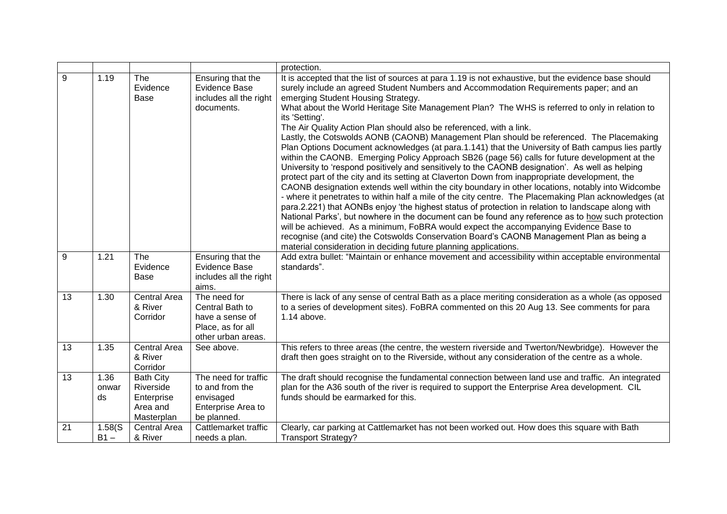|    |                     |                                                                       |                                                                                               | protection.                                                                                                                                                                                                                                                                                                                                                                                                                                                                                                                                                                                                                                                                                                                                                                                                                                                                                                                                                                                                                                                                                                                                                                                                                                                                                                                                                                                                                                                                                                                                                                                                            |
|----|---------------------|-----------------------------------------------------------------------|-----------------------------------------------------------------------------------------------|------------------------------------------------------------------------------------------------------------------------------------------------------------------------------------------------------------------------------------------------------------------------------------------------------------------------------------------------------------------------------------------------------------------------------------------------------------------------------------------------------------------------------------------------------------------------------------------------------------------------------------------------------------------------------------------------------------------------------------------------------------------------------------------------------------------------------------------------------------------------------------------------------------------------------------------------------------------------------------------------------------------------------------------------------------------------------------------------------------------------------------------------------------------------------------------------------------------------------------------------------------------------------------------------------------------------------------------------------------------------------------------------------------------------------------------------------------------------------------------------------------------------------------------------------------------------------------------------------------------------|
| 9  | 1.19                | The<br>Evidence<br>Base                                               | Ensuring that the<br>Evidence Base<br>includes all the right<br>documents.                    | It is accepted that the list of sources at para 1.19 is not exhaustive, but the evidence base should<br>surely include an agreed Student Numbers and Accommodation Requirements paper; and an<br>emerging Student Housing Strategy.<br>What about the World Heritage Site Management Plan? The WHS is referred to only in relation to<br>its 'Setting'.<br>The Air Quality Action Plan should also be referenced, with a link.<br>Lastly, the Cotswolds AONB (CAONB) Management Plan should be referenced. The Placemaking<br>Plan Options Document acknowledges (at para.1.141) that the University of Bath campus lies partly<br>within the CAONB. Emerging Policy Approach SB26 (page 56) calls for future development at the<br>University to 'respond positively and sensitively to the CAONB designation'. As well as helping<br>protect part of the city and its setting at Claverton Down from inappropriate development, the<br>CAONB designation extends well within the city boundary in other locations, notably into Widcombe<br>- where it penetrates to within half a mile of the city centre. The Placemaking Plan acknowledges (at<br>para.2.221) that AONBs enjoy 'the highest status of protection in relation to landscape along with<br>National Parks', but nowhere in the document can be found any reference as to how such protection<br>will be achieved. As a minimum, FoBRA would expect the accompanying Evidence Base to<br>recognise (and cite) the Cotswolds Conservation Board's CAONB Management Plan as being a<br>material consideration in deciding future planning applications. |
| 9  | 1.21                | The<br>Evidence<br><b>Base</b>                                        | Ensuring that the<br><b>Evidence Base</b><br>includes all the right<br>aims.                  | Add extra bullet: "Maintain or enhance movement and accessibility within acceptable environmental<br>standards".                                                                                                                                                                                                                                                                                                                                                                                                                                                                                                                                                                                                                                                                                                                                                                                                                                                                                                                                                                                                                                                                                                                                                                                                                                                                                                                                                                                                                                                                                                       |
| 13 | 1.30                | <b>Central Area</b><br>& River<br>Corridor                            | The need for<br>Central Bath to<br>have a sense of<br>Place, as for all<br>other urban areas. | There is lack of any sense of central Bath as a place meriting consideration as a whole (as opposed<br>to a series of development sites). FoBRA commented on this 20 Aug 13. See comments for para<br>1.14 above.                                                                                                                                                                                                                                                                                                                                                                                                                                                                                                                                                                                                                                                                                                                                                                                                                                                                                                                                                                                                                                                                                                                                                                                                                                                                                                                                                                                                      |
| 13 | 1.35                | <b>Central Area</b><br>& River<br>Corridor                            | See above.                                                                                    | This refers to three areas (the centre, the western riverside and Twerton/Newbridge). However the<br>draft then goes straight on to the Riverside, without any consideration of the centre as a whole.                                                                                                                                                                                                                                                                                                                                                                                                                                                                                                                                                                                                                                                                                                                                                                                                                                                                                                                                                                                                                                                                                                                                                                                                                                                                                                                                                                                                                 |
| 13 | 1.36<br>onwar<br>ds | <b>Bath City</b><br>Riverside<br>Enterprise<br>Area and<br>Masterplan | The need for traffic<br>to and from the<br>envisaged<br>Enterprise Area to<br>be planned.     | The draft should recognise the fundamental connection between land use and traffic. An integrated<br>plan for the A36 south of the river is required to support the Enterprise Area development. CIL<br>funds should be earmarked for this.                                                                                                                                                                                                                                                                                                                                                                                                                                                                                                                                                                                                                                                                                                                                                                                                                                                                                                                                                                                                                                                                                                                                                                                                                                                                                                                                                                            |
| 21 | 1.58(S)<br>$B1 -$   | <b>Central Area</b><br>& River                                        | Cattlemarket traffic<br>needs a plan.                                                         | Clearly, car parking at Cattlemarket has not been worked out. How does this square with Bath<br><b>Transport Strategy?</b>                                                                                                                                                                                                                                                                                                                                                                                                                                                                                                                                                                                                                                                                                                                                                                                                                                                                                                                                                                                                                                                                                                                                                                                                                                                                                                                                                                                                                                                                                             |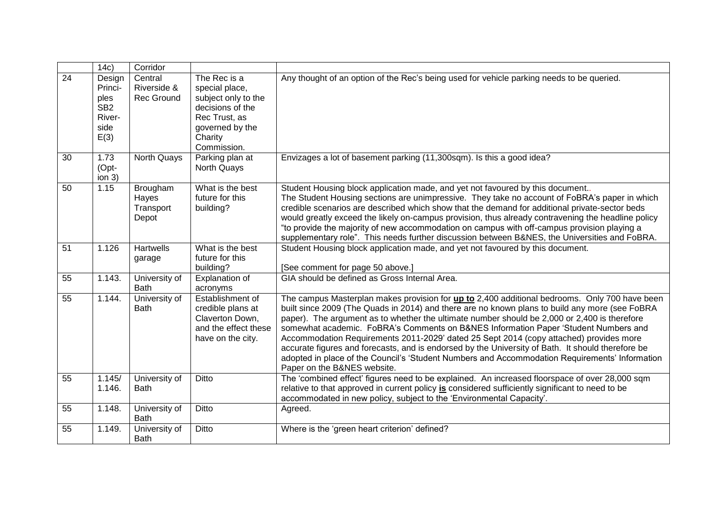|                 | 14c)                                                                   | Corridor                                    |                                                                                                                                         |                                                                                                                                                                                                                                                                                                                                                                                                                                                                                                                                                                                                                                                                                                                        |
|-----------------|------------------------------------------------------------------------|---------------------------------------------|-----------------------------------------------------------------------------------------------------------------------------------------|------------------------------------------------------------------------------------------------------------------------------------------------------------------------------------------------------------------------------------------------------------------------------------------------------------------------------------------------------------------------------------------------------------------------------------------------------------------------------------------------------------------------------------------------------------------------------------------------------------------------------------------------------------------------------------------------------------------------|
| $\overline{24}$ | Design<br>Princi-<br>ples<br>SB <sub>2</sub><br>River-<br>side<br>E(3) | Central<br>Riverside &<br><b>Rec Ground</b> | The Rec is a<br>special place,<br>subject only to the<br>decisions of the<br>Rec Trust, as<br>governed by the<br>Charity<br>Commission. | Any thought of an option of the Rec's being used for vehicle parking needs to be queried.                                                                                                                                                                                                                                                                                                                                                                                                                                                                                                                                                                                                                              |
| 30              | 1.73<br>(Opt-<br>ion <sub>3</sub>                                      | <b>North Quays</b>                          | Parking plan at<br>North Quays                                                                                                          | Envizages a lot of basement parking (11,300sqm). Is this a good idea?                                                                                                                                                                                                                                                                                                                                                                                                                                                                                                                                                                                                                                                  |
| 50              | 1.15                                                                   | Brougham<br>Hayes<br>Transport<br>Depot     | What is the best<br>future for this<br>building?                                                                                        | Student Housing block application made, and yet not favoured by this document<br>The Student Housing sections are unimpressive. They take no account of FoBRA's paper in which<br>credible scenarios are described which show that the demand for additional private-sector beds<br>would greatly exceed the likely on-campus provision, thus already contravening the headline policy<br>"to provide the majority of new accommodation on campus with off-campus provision playing a<br>supplementary role". This needs further discussion between B&NES, the Universities and FoBRA.                                                                                                                                 |
| 51              | 1.126                                                                  | Hartwells<br>garage                         | What is the best<br>future for this<br>building?                                                                                        | Student Housing block application made, and yet not favoured by this document.<br>[See comment for page 50 above.]                                                                                                                                                                                                                                                                                                                                                                                                                                                                                                                                                                                                     |
| 55              | 1.143.                                                                 | University of<br><b>Bath</b>                | Explanation of<br>acronyms                                                                                                              | GIA should be defined as Gross Internal Area.                                                                                                                                                                                                                                                                                                                                                                                                                                                                                                                                                                                                                                                                          |
| 55              | 1.144.                                                                 | University of<br><b>Bath</b>                | Establishment of<br>credible plans at<br>Claverton Down,<br>and the effect these<br>have on the city.                                   | The campus Masterplan makes provision for up to 2,400 additional bedrooms. Only 700 have been<br>built since 2009 (The Quads in 2014) and there are no known plans to build any more (see FoBRA<br>paper). The argument as to whether the ultimate number should be 2,000 or 2,400 is therefore<br>somewhat academic. FoBRA's Comments on B&NES Information Paper 'Student Numbers and<br>Accommodation Requirements 2011-2029' dated 25 Sept 2014 (copy attached) provides more<br>accurate figures and forecasts, and is endorsed by the University of Bath. It should therefore be<br>adopted in place of the Council's 'Student Numbers and Accommodation Requirements' Information<br>Paper on the B&NES website. |
| 55              | 1.145/<br>1.146.                                                       | University of<br><b>Bath</b>                | Ditto                                                                                                                                   | The 'combined effect' figures need to be explained. An increased floorspace of over 28,000 sqm<br>relative to that approved in current policy is considered sufficiently significant to need to be<br>accommodated in new policy, subject to the 'Environmental Capacity'.                                                                                                                                                                                                                                                                                                                                                                                                                                             |
| 55              | 1.148.                                                                 | University of<br><b>Bath</b>                | Ditto                                                                                                                                   | Agreed.                                                                                                                                                                                                                                                                                                                                                                                                                                                                                                                                                                                                                                                                                                                |
| 55              | 1.149.                                                                 | University of<br><b>Bath</b>                | Ditto                                                                                                                                   | Where is the 'green heart criterion' defined?                                                                                                                                                                                                                                                                                                                                                                                                                                                                                                                                                                                                                                                                          |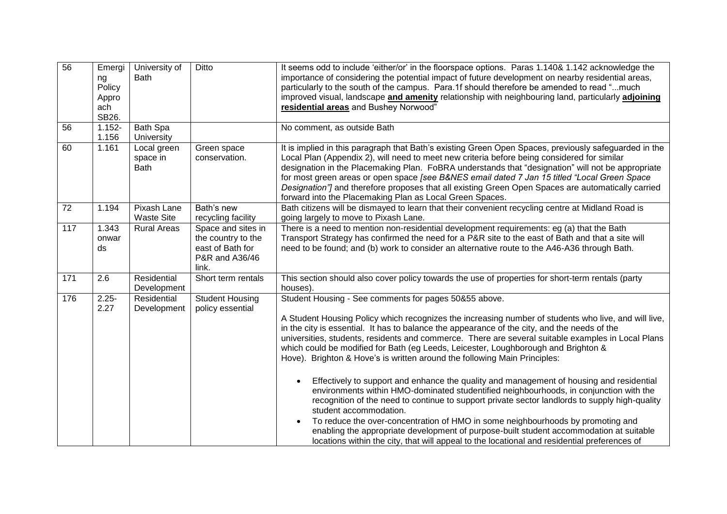| 56  | Emergi    | University of      | Ditto                  | It seems odd to include 'either/or' in the floorspace options. Paras 1.140& 1.142 acknowledge the     |
|-----|-----------|--------------------|------------------------|-------------------------------------------------------------------------------------------------------|
|     | ng        | <b>Bath</b>        |                        | importance of considering the potential impact of future development on nearby residential areas,     |
|     | Policy    |                    |                        | particularly to the south of the campus. Para.1f should therefore be amended to read "much            |
|     | Appro     |                    |                        | improved visual, landscape and amenity relationship with neighbouring land, particularly adjoining    |
|     | ach       |                    |                        | residential areas and Bushey Norwood"                                                                 |
|     | SB26.     |                    |                        |                                                                                                       |
| 56  | $1.152 -$ | <b>Bath Spa</b>    |                        | No comment, as outside Bath                                                                           |
|     | 1.156     | University         |                        |                                                                                                       |
| 60  | 1.161     | Local green        | Green space            | It is implied in this paragraph that Bath's existing Green Open Spaces, previously safeguarded in the |
|     |           | space in           | conservation.          | Local Plan (Appendix 2), will need to meet new criteria before being considered for similar           |
|     |           | <b>Bath</b>        |                        | designation in the Placemaking Plan. FoBRA understands that "designation" will not be appropriate     |
|     |           |                    |                        | for most green areas or open space [see B&NES email dated 7 Jan 15 titled "Local Green Space          |
|     |           |                    |                        | Designation"] and therefore proposes that all existing Green Open Spaces are automatically carried    |
|     |           |                    |                        | forward into the Placemaking Plan as Local Green Spaces.                                              |
| 72  | 1.194     | Pixash Lane        | Bath's new             | Bath citizens will be dismayed to learn that their convenient recycling centre at Midland Road is     |
|     |           | <b>Waste Site</b>  | recycling facility     | going largely to move to Pixash Lane.                                                                 |
| 117 | 1.343     | <b>Rural Areas</b> | Space and sites in     | There is a need to mention non-residential development requirements: eg (a) that the Bath             |
|     | onwar     |                    | the country to the     | Transport Strategy has confirmed the need for a P&R site to the east of Bath and that a site will     |
|     | ds        |                    | east of Bath for       | need to be found; and (b) work to consider an alternative route to the A46-A36 through Bath.          |
|     |           |                    | P&R and A36/46         |                                                                                                       |
|     |           |                    | link.                  |                                                                                                       |
| 171 | 2.6       | Residential        | Short term rentals     | This section should also cover policy towards the use of properties for short-term rentals (party     |
|     |           | Development        |                        | houses).                                                                                              |
| 176 | $2.25 -$  | Residential        | <b>Student Housing</b> | Student Housing - See comments for pages 50&55 above.                                                 |
|     | 2.27      | Development        | policy essential       |                                                                                                       |
|     |           |                    |                        | A Student Housing Policy which recognizes the increasing number of students who live, and will live,  |
|     |           |                    |                        | in the city is essential. It has to balance the appearance of the city, and the needs of the          |
|     |           |                    |                        | universities, students, residents and commerce. There are several suitable examples in Local Plans    |
|     |           |                    |                        | which could be modified for Bath (eg Leeds, Leicester, Loughborough and Brighton &                    |
|     |           |                    |                        | Hove). Brighton & Hove's is written around the following Main Principles:                             |
|     |           |                    |                        |                                                                                                       |
|     |           |                    |                        | Effectively to support and enhance the quality and management of housing and residential<br>$\bullet$ |
|     |           |                    |                        | environments within HMO-dominated studentified neighbourhoods, in conjunction with the                |
|     |           |                    |                        | recognition of the need to continue to support private sector landlords to supply high-quality        |
|     |           |                    |                        | student accommodation.                                                                                |
|     |           |                    |                        | To reduce the over-concentration of HMO in some neighbourhoods by promoting and                       |
|     |           |                    |                        | enabling the appropriate development of purpose-built student accommodation at suitable               |
|     |           |                    |                        | locations within the city, that will appeal to the locational and residential preferences of          |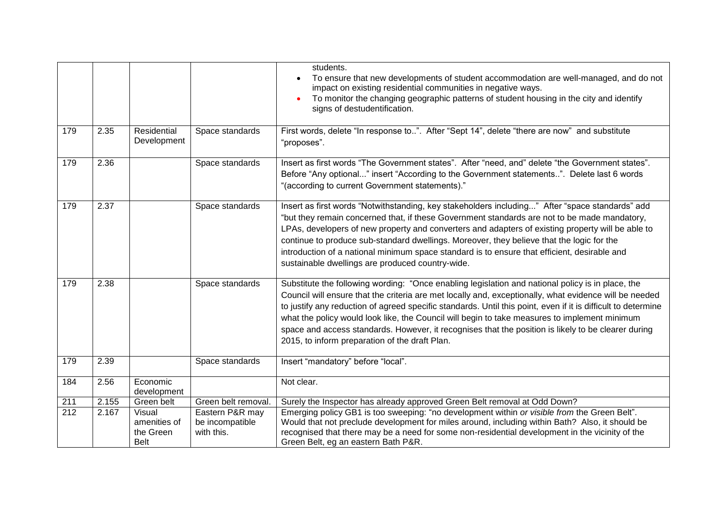|                  |       |                                                    |                                                  | students.<br>To ensure that new developments of student accommodation are well-managed, and do not<br>$\bullet$<br>impact on existing residential communities in negative ways.<br>To monitor the changing geographic patterns of student housing in the city and identify<br>signs of destudentification.                                                                                                                                                                                                                                                                             |
|------------------|-------|----------------------------------------------------|--------------------------------------------------|----------------------------------------------------------------------------------------------------------------------------------------------------------------------------------------------------------------------------------------------------------------------------------------------------------------------------------------------------------------------------------------------------------------------------------------------------------------------------------------------------------------------------------------------------------------------------------------|
| 179              | 2.35  | Residential<br>Development                         | Space standards                                  | First words, delete "In response to". After "Sept 14", delete "there are now" and substitute<br>"proposes".                                                                                                                                                                                                                                                                                                                                                                                                                                                                            |
| 179              | 2.36  |                                                    | Space standards                                  | Insert as first words "The Government states". After "need, and" delete "the Government states".<br>Before "Any optional" insert "According to the Government statements". Delete last 6 words<br>"(according to current Government statements)."                                                                                                                                                                                                                                                                                                                                      |
| 179              | 2.37  |                                                    | Space standards                                  | Insert as first words "Notwithstanding, key stakeholders including" After "space standards" add<br>"but they remain concerned that, if these Government standards are not to be made mandatory,<br>LPAs, developers of new property and converters and adapters of existing property will be able to<br>continue to produce sub-standard dwellings. Moreover, they believe that the logic for the<br>introduction of a national minimum space standard is to ensure that efficient, desirable and<br>sustainable dwellings are produced country-wide.                                  |
| 179              | 2.38  |                                                    | Space standards                                  | Substitute the following wording: "Once enabling legislation and national policy is in place, the<br>Council will ensure that the criteria are met locally and, exceptionally, what evidence will be needed<br>to justify any reduction of agreed specific standards. Until this point, even if it is difficult to determine<br>what the policy would look like, the Council will begin to take measures to implement minimum<br>space and access standards. However, it recognises that the position is likely to be clearer during<br>2015, to inform preparation of the draft Plan. |
| 179              | 2.39  |                                                    | Space standards                                  | Insert "mandatory" before "local".                                                                                                                                                                                                                                                                                                                                                                                                                                                                                                                                                     |
| 184              | 2.56  | Economic<br>development                            |                                                  | Not clear.                                                                                                                                                                                                                                                                                                                                                                                                                                                                                                                                                                             |
| 211              | 2.155 | Green belt                                         | Green belt removal.                              | Surely the Inspector has already approved Green Belt removal at Odd Down?                                                                                                                                                                                                                                                                                                                                                                                                                                                                                                              |
| $\overline{212}$ | 2.167 | Visual<br>amenities of<br>the Green<br><b>Belt</b> | Eastern P&R may<br>be incompatible<br>with this. | Emerging policy GB1 is too sweeping: "no development within or visible from the Green Belt".<br>Would that not preclude development for miles around, including within Bath? Also, it should be<br>recognised that there may be a need for some non-residential development in the vicinity of the<br>Green Belt, eg an eastern Bath P&R.                                                                                                                                                                                                                                              |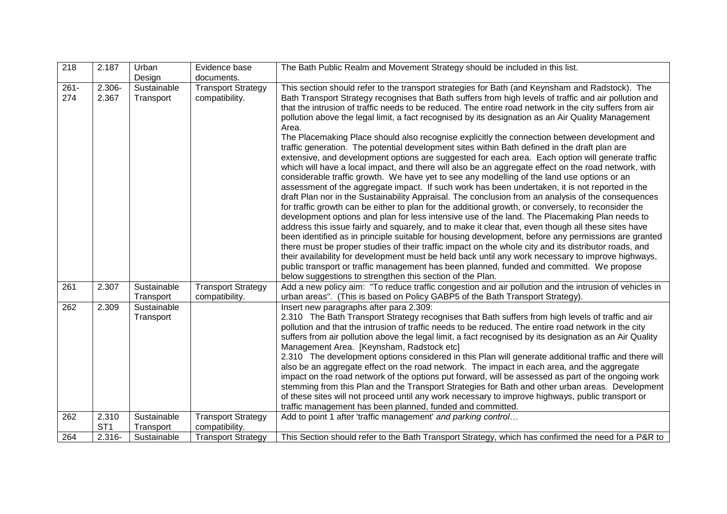| $\overline{218}$ | 2.187           | Urban                    | Evidence base                               | The Bath Public Realm and Movement Strategy should be included in this list.                                                                                                                                                                                                                                                                                                                                                                                                                                                                                                                                                                                                                                                                                                                                                                                                                                                                                                                                                                                                                                                                                                                                                                                                                                                                                              |
|------------------|-----------------|--------------------------|---------------------------------------------|---------------------------------------------------------------------------------------------------------------------------------------------------------------------------------------------------------------------------------------------------------------------------------------------------------------------------------------------------------------------------------------------------------------------------------------------------------------------------------------------------------------------------------------------------------------------------------------------------------------------------------------------------------------------------------------------------------------------------------------------------------------------------------------------------------------------------------------------------------------------------------------------------------------------------------------------------------------------------------------------------------------------------------------------------------------------------------------------------------------------------------------------------------------------------------------------------------------------------------------------------------------------------------------------------------------------------------------------------------------------------|
|                  |                 | Design                   | documents.                                  |                                                                                                                                                                                                                                                                                                                                                                                                                                                                                                                                                                                                                                                                                                                                                                                                                                                                                                                                                                                                                                                                                                                                                                                                                                                                                                                                                                           |
| $261 -$          | $2.306 -$       | Sustainable              | <b>Transport Strategy</b>                   | This section should refer to the transport strategies for Bath (and Keynsham and Radstock). The                                                                                                                                                                                                                                                                                                                                                                                                                                                                                                                                                                                                                                                                                                                                                                                                                                                                                                                                                                                                                                                                                                                                                                                                                                                                           |
| 274              | 2.367           | Transport                | compatibility.                              | Bath Transport Strategy recognises that Bath suffers from high levels of traffic and air pollution and<br>that the intrusion of traffic needs to be reduced. The entire road network in the city suffers from air<br>pollution above the legal limit, a fact recognised by its designation as an Air Quality Management<br>Area.<br>The Placemaking Place should also recognise explicitly the connection between development and<br>traffic generation. The potential development sites within Bath defined in the draft plan are<br>extensive, and development options are suggested for each area. Each option will generate traffic<br>which will have a local impact, and there will also be an aggregate effect on the road network, with<br>considerable traffic growth. We have yet to see any modelling of the land use options or an<br>assessment of the aggregate impact. If such work has been undertaken, it is not reported in the<br>draft Plan nor in the Sustainability Appraisal. The conclusion from an analysis of the consequences<br>for traffic growth can be either to plan for the additional growth, or conversely, to reconsider the<br>development options and plan for less intensive use of the land. The Placemaking Plan needs to<br>address this issue fairly and squarely, and to make it clear that, even though all these sites have |
|                  |                 |                          |                                             | been identified as in principle suitable for housing development, before any permissions are granted<br>there must be proper studies of their traffic impact on the whole city and its distributor roads, and                                                                                                                                                                                                                                                                                                                                                                                                                                                                                                                                                                                                                                                                                                                                                                                                                                                                                                                                                                                                                                                                                                                                                             |
|                  |                 |                          |                                             | their availability for development must be held back until any work necessary to improve highways,                                                                                                                                                                                                                                                                                                                                                                                                                                                                                                                                                                                                                                                                                                                                                                                                                                                                                                                                                                                                                                                                                                                                                                                                                                                                        |
|                  |                 |                          |                                             | public transport or traffic management has been planned, funded and committed. We propose                                                                                                                                                                                                                                                                                                                                                                                                                                                                                                                                                                                                                                                                                                                                                                                                                                                                                                                                                                                                                                                                                                                                                                                                                                                                                 |
|                  |                 |                          |                                             | below suggestions to strengthen this section of the Plan.                                                                                                                                                                                                                                                                                                                                                                                                                                                                                                                                                                                                                                                                                                                                                                                                                                                                                                                                                                                                                                                                                                                                                                                                                                                                                                                 |
| 261              | 2.307           | Sustainable<br>Transport | <b>Transport Strategy</b><br>compatibility. | Add a new policy aim: "To reduce traffic congestion and air pollution and the intrusion of vehicles in<br>urban areas". (This is based on Policy GABP5 of the Bath Transport Strategy).                                                                                                                                                                                                                                                                                                                                                                                                                                                                                                                                                                                                                                                                                                                                                                                                                                                                                                                                                                                                                                                                                                                                                                                   |
| 262              | 2.309           | Sustainable              |                                             | Insert new paragraphs after para 2.309:                                                                                                                                                                                                                                                                                                                                                                                                                                                                                                                                                                                                                                                                                                                                                                                                                                                                                                                                                                                                                                                                                                                                                                                                                                                                                                                                   |
|                  |                 | Transport                |                                             | 2.310 The Bath Transport Strategy recognises that Bath suffers from high levels of traffic and air                                                                                                                                                                                                                                                                                                                                                                                                                                                                                                                                                                                                                                                                                                                                                                                                                                                                                                                                                                                                                                                                                                                                                                                                                                                                        |
|                  |                 |                          |                                             | pollution and that the intrusion of traffic needs to be reduced. The entire road network in the city                                                                                                                                                                                                                                                                                                                                                                                                                                                                                                                                                                                                                                                                                                                                                                                                                                                                                                                                                                                                                                                                                                                                                                                                                                                                      |
|                  |                 |                          |                                             | suffers from air pollution above the legal limit, a fact recognised by its designation as an Air Quality                                                                                                                                                                                                                                                                                                                                                                                                                                                                                                                                                                                                                                                                                                                                                                                                                                                                                                                                                                                                                                                                                                                                                                                                                                                                  |
|                  |                 |                          |                                             | Management Area. [Keynsham, Radstock etc]                                                                                                                                                                                                                                                                                                                                                                                                                                                                                                                                                                                                                                                                                                                                                                                                                                                                                                                                                                                                                                                                                                                                                                                                                                                                                                                                 |
|                  |                 |                          |                                             | 2.310 The development options considered in this Plan will generate additional traffic and there will<br>also be an aggregate effect on the road network. The impact in each area, and the aggregate                                                                                                                                                                                                                                                                                                                                                                                                                                                                                                                                                                                                                                                                                                                                                                                                                                                                                                                                                                                                                                                                                                                                                                      |
|                  |                 |                          |                                             | impact on the road network of the options put forward, will be assessed as part of the ongoing work                                                                                                                                                                                                                                                                                                                                                                                                                                                                                                                                                                                                                                                                                                                                                                                                                                                                                                                                                                                                                                                                                                                                                                                                                                                                       |
|                  |                 |                          |                                             | stemming from this Plan and the Transport Strategies for Bath and other urban areas. Development                                                                                                                                                                                                                                                                                                                                                                                                                                                                                                                                                                                                                                                                                                                                                                                                                                                                                                                                                                                                                                                                                                                                                                                                                                                                          |
|                  |                 |                          |                                             | of these sites will not proceed until any work necessary to improve highways, public transport or                                                                                                                                                                                                                                                                                                                                                                                                                                                                                                                                                                                                                                                                                                                                                                                                                                                                                                                                                                                                                                                                                                                                                                                                                                                                         |
|                  |                 |                          |                                             | traffic management has been planned, funded and committed.                                                                                                                                                                                                                                                                                                                                                                                                                                                                                                                                                                                                                                                                                                                                                                                                                                                                                                                                                                                                                                                                                                                                                                                                                                                                                                                |
| 262              | 2.310           | Sustainable              | <b>Transport Strategy</b>                   | Add to point 1 after 'traffic management' and parking control                                                                                                                                                                                                                                                                                                                                                                                                                                                                                                                                                                                                                                                                                                                                                                                                                                                                                                                                                                                                                                                                                                                                                                                                                                                                                                             |
|                  | ST <sub>1</sub> | Transport                | compatibility.                              |                                                                                                                                                                                                                                                                                                                                                                                                                                                                                                                                                                                                                                                                                                                                                                                                                                                                                                                                                                                                                                                                                                                                                                                                                                                                                                                                                                           |
| 264              | $2.316 -$       | Sustainable              | <b>Transport Strategy</b>                   | This Section should refer to the Bath Transport Strategy, which has confirmed the need for a P&R to                                                                                                                                                                                                                                                                                                                                                                                                                                                                                                                                                                                                                                                                                                                                                                                                                                                                                                                                                                                                                                                                                                                                                                                                                                                                       |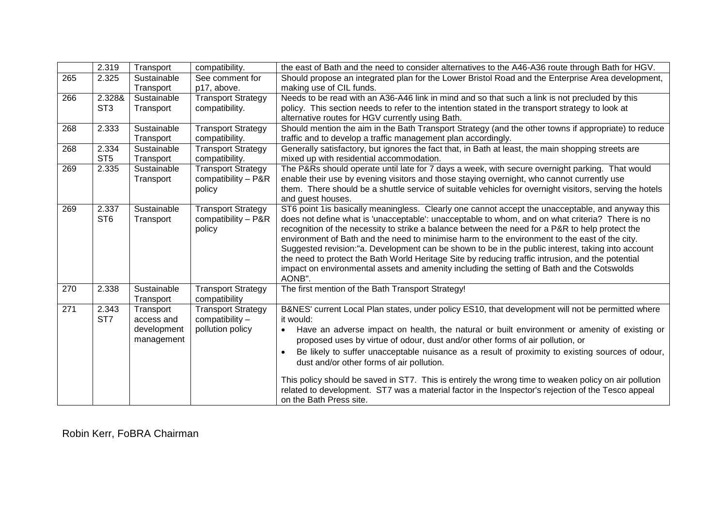|                  | 2.319           | Transport   | compatibility.            | the east of Bath and the need to consider alternatives to the A46-A36 route through Bath for HGV.                                             |
|------------------|-----------------|-------------|---------------------------|-----------------------------------------------------------------------------------------------------------------------------------------------|
| $\overline{265}$ | 2.325           | Sustainable | See comment for           | Should propose an integrated plan for the Lower Bristol Road and the Enterprise Area development,                                             |
|                  |                 | Transport   | p17, above.               | making use of CIL funds.                                                                                                                      |
| 266              | 2.328&          | Sustainable | <b>Transport Strategy</b> | Needs to be read with an A36-A46 link in mind and so that such a link is not precluded by this                                                |
|                  | ST <sub>3</sub> | Transport   | compatibility.            | policy. This section needs to refer to the intention stated in the transport strategy to look at                                              |
|                  |                 |             |                           | alternative routes for HGV currently using Bath.                                                                                              |
| 268              | 2.333           | Sustainable | <b>Transport Strategy</b> | Should mention the aim in the Bath Transport Strategy (and the other towns if appropriate) to reduce                                          |
|                  |                 | Transport   | compatibility.            | traffic and to develop a traffic management plan accordingly.                                                                                 |
| 268              | 2.334           | Sustainable | <b>Transport Strategy</b> | Generally satisfactory, but ignores the fact that, in Bath at least, the main shopping streets are                                            |
|                  | ST <sub>5</sub> | Transport   | compatibility.            | mixed up with residential accommodation.                                                                                                      |
| 269              | 2.335           | Sustainable | <b>Transport Strategy</b> | The P&Rs should operate until late for 7 days a week, with secure overnight parking. That would                                               |
|                  |                 | Transport   | compatibility - P&R       | enable their use by evening visitors and those staying overnight, who cannot currently use                                                    |
|                  |                 |             | policy                    | them. There should be a shuttle service of suitable vehicles for overnight visitors, serving the hotels                                       |
|                  |                 |             |                           | and guest houses.                                                                                                                             |
| 269              | 2.337           | Sustainable | <b>Transport Strategy</b> | ST6 point 1 is basically meaningless. Clearly one cannot accept the unacceptable, and anyway this                                             |
|                  | ST <sub>6</sub> | Transport   | compatibility - P&R       | does not define what is 'unacceptable': unacceptable to whom, and on what criteria? There is no                                               |
|                  |                 |             | policy                    | recognition of the necessity to strike a balance between the need for a P&R to help protect the                                               |
|                  |                 |             |                           | environment of Bath and the need to minimise harm to the environment to the east of the city.                                                 |
|                  |                 |             |                           | Suggested revision:"a. Development can be shown to be in the public interest, taking into account                                             |
|                  |                 |             |                           | the need to protect the Bath World Heritage Site by reducing traffic intrusion, and the potential                                             |
|                  |                 |             |                           | impact on environmental assets and amenity including the setting of Bath and the Cotswolds                                                    |
|                  |                 |             |                           | AONB".                                                                                                                                        |
| 270              | 2.338           | Sustainable | <b>Transport Strategy</b> | The first mention of the Bath Transport Strategy!                                                                                             |
|                  |                 | Transport   | compatibility             |                                                                                                                                               |
| 271              | 2.343           | Transport   | <b>Transport Strategy</b> | B&NES' current Local Plan states, under policy ES10, that development will not be permitted where                                             |
|                  | ST <sub>7</sub> | access and  | compatibility -           | it would:                                                                                                                                     |
|                  |                 | development | pollution policy          | Have an adverse impact on health, the natural or built environment or amenity of existing or<br>$\bullet$                                     |
|                  |                 | management  |                           | proposed uses by virtue of odour, dust and/or other forms of air pollution, or                                                                |
|                  |                 |             |                           |                                                                                                                                               |
|                  |                 |             |                           | Be likely to suffer unacceptable nuisance as a result of proximity to existing sources of odour,<br>dust and/or other forms of air pollution. |
|                  |                 |             |                           |                                                                                                                                               |
|                  |                 |             |                           | This policy should be saved in ST7. This is entirely the wrong time to weaken policy on air pollution                                         |
|                  |                 |             |                           | related to development. ST7 was a material factor in the Inspector's rejection of the Tesco appeal                                            |
|                  |                 |             |                           | on the Bath Press site.                                                                                                                       |

Robin Kerr, FoBRA Chairman